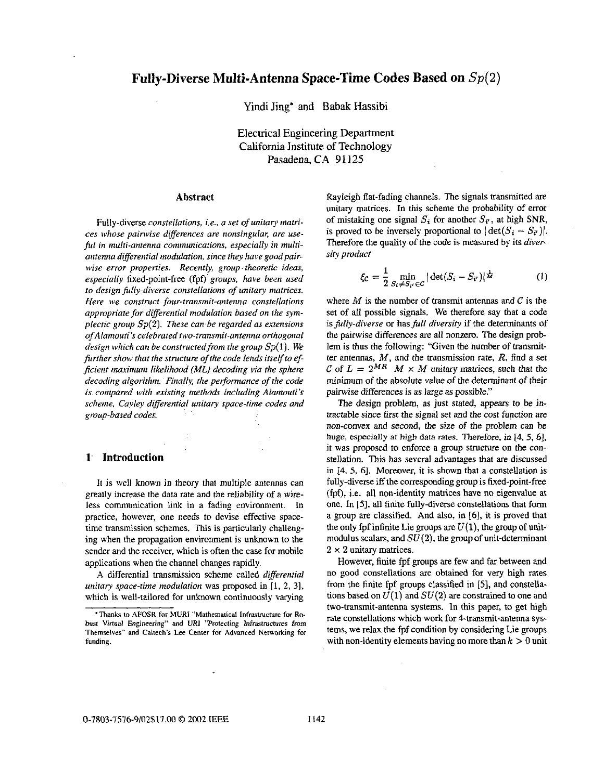Yindi Jing\* and Babak Hassibi

Electrical Engineering Department California Institute of Technology Pasadena, **CA 91125** 

### **Abstract**

Fully-diverse *constellations, i.e., a set of unitary matrices whose painvise differences are nonsingular, ure use*ful in multi-antenna communications, especially in multi*antenna differential modulation, since fhey have goodpairwise error properties. Recently, group. theoretic ideas, especially* fixed-point-free (fpf) groups, have been used *10 design fully-diverse constellations of unitary matrices. Here we construcf four-rransmif-antenna constellations appropriate for differertfial modulation based on Jhe symplectic group Sp(2). These can be regarded as extensions of Alamouri* **5** *celebrufed hvo-transmit-antenna orthogonal design which can be constructedfrom fhe group Sp(* **1).** *We further show that the structure of the code lends itself to efficient marimurn likelihood (ML) decoding via the sphere decoding algorithm. Finally, the performance of the code is compared with existing methods including Alamouti's scheme, Cavley differential unitary space-lime codes and group-based codes.* 

## **1. Introduction**

It is well known in theory that multiple antennas can greatly increase the data rate and the reliability of a wireless communication link in a fading environment. In practice, however, one needs to devise effective spacetime transmission schemes. **This** is particularly challenging when the propagation environment is unknown to the sender and the receiver, which is often the case for mobile applications when the channel changes rapidly.

**A** differential transmission scheme called *differential unitary space-time modulation* was proposed in [1, 2, 3], which is well-tailored for unknown continuously varying Rayleigh flat-fading channels. The signals transmitted are unitary matrices. In this scheme the probability of error of mistaking one signal  $S_i$  for another  $S_i$ , at high SNR, is proved to be inversely proportional to  $|\det(S_i - S_{i'})|$ . Therefore the quality of the code **is** measured by its *diversity product* 

$$
\xi_C = \frac{1}{2} \min_{S_i \neq S_{i'} \in C} |\det(S_i - S_{i'})|^{\frac{1}{M}} \tag{1}
$$

where  $M$  is the number of transmit antennas and  $C$  is the set of all possible signals. We therefore say that a code *is fully-diverse or has full diversity if the determinants of* the pairwise differences **are** all nonzero. The design prob lem is thus the following: "Given the number of transmitter antennas, *M,* and the transmission rate, *R,* find a set *C* of  $L = 2^{MR}$  *M* × *M* unitary matrices, such that the minimum of the absolute **value** *of* the determinant of their painvise differences is as large as possible."

The design problem, as just stated, appears *to* be intractable since first the signal set and the *cost* function are non-convex and second, *the* size of the problem can be huge, especially at high data rates. Therefore, *in* **[4,** 5, **61,**  it was proposed to enforce a group structure on the constellation. This has several advantages that are discussed in 14, 5, 61. Moreover, it is shown that a constellation is fully-diverse iff the corresponding group is fixed-point-free (fpf), i.e. all non-identity matrices have no eigenvalue at one. In **IS],** all finite fully-diverse constellations that form a group are classified. And also, in [6], it is proved that the only fpf infinite Lie groups are  $U(1)$ , the group of unitmodulus scalars, and *SU(2),* the **group** of unit-determinant **2** *x* **2** unitary matrices.

However, finite fpf groups are few and far between and no **good** constellations are obtained for very high rates from the finite fpf groups classified in *[5],* and constellations based on  $U(1)$  and  $SU(2)$  are constrained to one and two-transmit-antenna systems. In this paper, to get high rate constellations which work for 4-transmit-antenna systems, we relax the fpf condition by considering Lie groups with non-identity elements having no more than  $k > 0$  unit

**<sup>&#</sup>x27;Thanks to AFOSR for MURI "Mathemadcal Infrastructure** *for Robust Virtual Engineering" and URI "Protecting Infrastructures from Themselves'' and* **Caltech's Lee Center for Advanced** *Networking for funding.*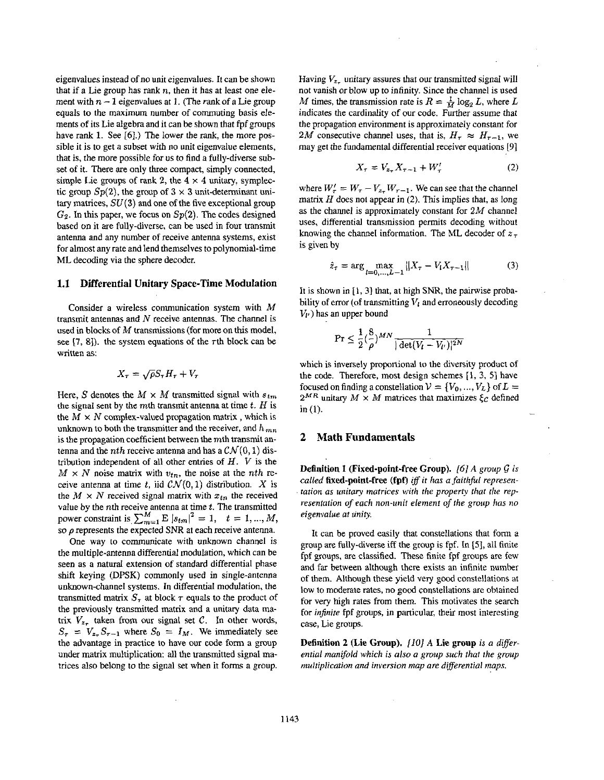eigenvalues instead **of** no unit eigenvalues. It can be shown that if a Lie group has rank  $n$ , then it has at least one element with  $n - 1$  eigenvalues at 1. (The rank of a Lie group equals to the maximum number **of** commuting basis elements **of** its Lie algebra and it can be shown that *fpf* groups have rank **1.** See *[6].)* The lower the *rank,* the more possible it is to get a subset with no unit eigenvalue elements, that is, the more possible for **us** to find a fully-diverse subset of it. There are only three compact, simply connected, simple Lie groups of rank 2, the  $4 \times 4$  unitary, symplectic group  $Sp(2)$ , the group of  $3 \times 3$  unit-determinant unitary matrices, *SU(3)* and one of the five exceptional group  $G_2$ . In this paper, we focus on  $Sp(2)$ . The codes designed based on it are fully-diverse, can be used in four transmit antenna and any number of receive antenna systems, exist for almost any rate and lend themselves to polynomial-time ML decoding via the sphere decoder.

#### **1.1 Differential Unitary Space-Time Modulation**

Consider a wireless communication system with *M*  transmit antennas and *N* receive antennas. The channel is used in **blocks** of *M* transmissions (for more on **this** model, see [7, 8]). the system equations of the  $\tau$ th block can be written as:

$$
X_{\tau} = \sqrt{\rho} S_{\tau} H_{\tau} + V_{\tau}
$$

Here, *S* denotes the  $M \times M$  transmitted signal with  $s_{tm}$ the signal sent by the mth transmit antenna at time *t. H* is the  $M \times N$  complex-valued propagation matrix, which is unknown to both the transmitter and the receiver, and  $h_{mn}$ is the propagation coefficient between the mth transmit antenna and the *nth* receive antenna and has a  $CN(0,1)$  distribution independent of all other entries of *H.* V is the  $M \times N$  noise matrix with  $v_{tn}$ , the noise at the *nth* receive antenna at time *t*, iid  $CN(0,1)$  distribution. *X* is the  $M \times N$  received signal matrix with  $x_{tn}$  the received value by the *n*th receive antenna at time *t*. The transmitted power constraint is  $\sum_{m=1}^{M} E |s_{tm}|^2 = 1$ ,  $t = 1, ..., M$ , so  $\rho$  represents the expected SNR at each receive antenna.

One way to communicate with unknown channel is the multiple-antenna differential modulation, which can be seen as a natural extension **of** standard differential phase shift keying (DPSK) commonly used in single-antenna unknown-channel systems. In differential modulation, the transmitted matrix  $S<sub>\tau</sub>$  at block  $\tau$  equals to the product of the previously transmitted matrix and a unitary data matrix  $V_{z_r}$  taken from our signal set C. In other words,  $S_{\tau} = V_{z_{\tau}} S_{\tau-1}$  where  $S_0 = I_M$ . We immediately see the advantage in practice to have our code form a group under matrix multiplication: all the transmitted signal matrices **also** belong to the signal set when it forms a group.

Having  $V_{z_{\tau}}$  unitary assures that our transmitted signal will not vanish or blow up to infinity. Since the channel is used *M* times, the transmission rate is  $R = \frac{1}{M} \log_2 L$ , where *L* indicates the cardinality of our code. Further assume that the propagation environment is approximately constant for 2*M* consecutive channel uses, that is,  $H_r \approx H_{r-1}$ , we may get the fundamental differential receiver equations *[9]* 

$$
X_{\tau} = V_{z_{\tau}} X_{\tau - 1} + W_{\tau}' \tag{2}
$$

where  $W'_r = W_r - V_{z_r} W_{r-1}$ . We can see that the channel matrix *H* does not appear in *(2).* **This** implies that, as long as the channel is approximately constant for 2M channel uses, differential transmission permits decoding without knowing the channel information. The ML decoder of *z*  **is** given by

$$
\hat{z}_{\tau} = \arg \max_{l=0,...,L-1} ||X_{\tau} - V_l X_{\tau-1}|| \tag{3}
$$

It is shown in  $[1, 3]$  that, at high SNR, the pairwise probability of error (of transmitting *V,* and erroneously decoding  $V_V$ ) has an upper bound

$$
\Pr \leq \frac{1}{2} \left(\frac{8}{\rho}\right)^{MN} \frac{1}{|\det(V_l - V_{l'})|^{2N}}
$$

which is inversely proportional to the diversity product of the code. Therefore, most design schemes [l, 3, **51** have focused on finding a constellation  $V = \{V_0, ..., V_L\}$  of  $L =$  $2^{MR}$  unitary  $M \times M$  matrices that maximizes  $\xi_c$  defined in (1).

## **2 Math Fundamentals**

**Definition 1 (Fixed-point-free Group).** [6] A group G is called **fixed-point-free (fpf)** iff it has a faithful represen*tation as unitary matrices with the property that the representation of each non-unit element of the group has no eigenvalue at unify.* 

It can be proved easily that constellations that form a group are fully-diverse iff the group is fpf. In *[5],* all finite fpf groups, are classified. These finite fpf groups are few and far between although there exists an infinite number of them. Although these yield very good constellations at low to moderate rates, no **good** constellations are obtained for very high rates from them. **This** motivates the search for *infinite* fpf groups, in particular, their most interesting case, Lie groups.

**Definition 2 (Lie Group).** *[IO] A* **Lie group** *is a diferentia1 manifold which is also a group such that the group multiplication and inversion map are differential maps.*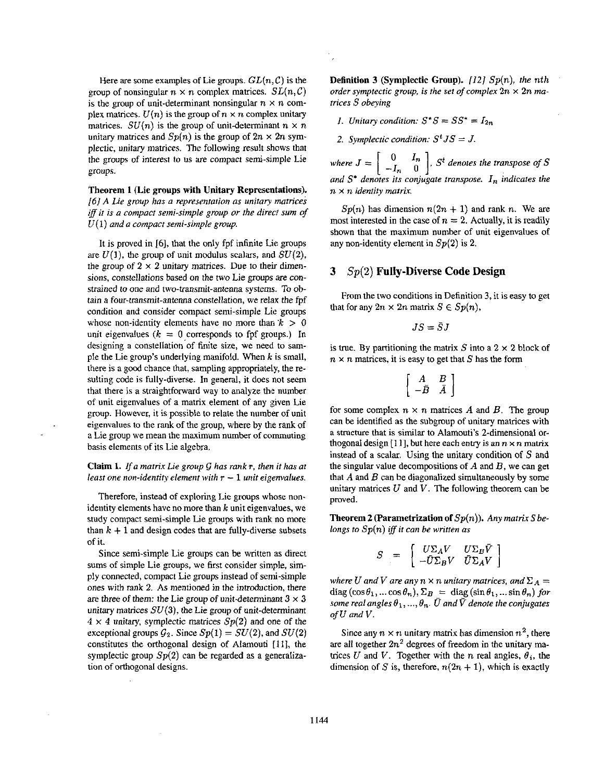Here are some examples of Lie groups.  $GL(n, \mathcal{C})$  is the group of nonsingular  $n \times n$  complex matrices.  $SL(n, \mathcal{C})$ *is the group of unit-determinant nonsingular*  $n \times n$  *com*plex matrices.  $U(n)$  is the group of  $n \times n$  complex unitary matrices. *SU(n)* is the group of unit-determinant  $n \times n$ unitary matrices and  $Sp(n)$  is the group of  $2n \times 2n$  symplectic, unitary matrices. The following result shows that the groups of interest to **us** are compact semi-simple Lie groups.

**Theorem 1 (Lie groups with Unitary Representations).**  *(61 A Lie group has a representation as unitary rmtrices iff if is a conipact semi-simple group or the direct sum of*  **U(1)** *and a compact semi-simple group.* 

It is proved in **161,** that the only fpf infinite Lie groups are  $U(1)$ , the group of unit modulus scalars, and  $SU(2)$ , the group of  $2 \times 2$  unitary matrices. Due to their dimensions, constellations based on the two Lie groups *are* constrained to one and two-transmit-antenna systems. *To* ohtain a four-transmit-antenna constellation, we relax the fpf condition and consider compact semi-simple Lie groups whose non-identity elements have no more than  $k > 0$ unit eigenvalues  $(k = 0$  corresponds to fpf groups.) In designing a constellation of finite size, we need to sample the Lie group's underlying manifold. When *k* is small, there **is** a good chance that, sampling appropriately, the resulting code **is** fully-diverse. In general, it does not seem that there is a straightforward way to analyze the number of unit eigenvalues of a matrix element of any given Lie group. However, it is possible to relate the number of unit eigenvalues to the rank of the group, where by the rank of a Lie group we mean the maximum number **of** commuting hasis elements of its Lie algebra.

#### *Claim* **1.** *Ifa matrix Lie group* (i *has rank* **T,** *then it has at least one non-identity element with*  $r - 1$  *unit eigenvalues.*

Therefore, instead of exploring Lie groups whose nonidentity elements have no more than  $k$  unit eigenvalues, we study compact semi-simple Lie groups with rank no more than  $k + 1$  and design codes that are fully-diverse subsets of it.

Since semi-simple Lie groups can he written as direct sums of simple Lie groups, we first consider simple, simply connected, compact Lie groups instead of semi-simple ones with rank *2. As* mentioned in the introduction, there are three of them: the Lie group of unit-determinant  $3 \times 3$ unitary matrices *SU(3),* the Lie group of unit-determinant  $4 \times 4$  unitary, symplectic matrices  $Sp(2)$  and one of the exceptional groups  $G_2$ . Since  $Sp(1) = SU(2)$ , and  $SU(2)$ constitutes the orthogonal design of **Alamouti [Ill,** the symplectic group *Sp(2)* can be regarded as a generalization of orthogonal designs.

**Definition 3** (Symplectic **Group).** *(121 Sp(n), the* nth *order symptectic group, is the set of complex*  $2n \times 2n$  *matrices S obeying* 

- *1. Unitary condition:*  $S^*S = SS^* = I_{2n}$
- *2. Symplectic condition:*  $S^t J S = J$ .

*where*  $J = \begin{bmatrix} 0 & I_n \\ -I & 0 \end{bmatrix}$ ,  $S^t$  *denotes the transpose of*  $S$ *and* S' *denotes its conjugate transpose. I, indicates the n* **x** n *identify matrix.*   $[-I_n \quad 0]$ 

 $Sp(n)$  has dimension  $n(2n + 1)$  and rank n. We are most interested in the case of  $n = 2$ . Actually, it is readily shown that the maximum number of unit eigenvalues of any non-identity element in *Sp(2)* is *2.* 

# **3** *Sp(2)* **Fully-Diverse Code Design**

From the two conditions in Definition 3, it is easy to get that for any  $2n \times 2n$  matrix  $S \in Sp(n)$ ,

$$
JS = \bar{S}J
$$

is true. By partitioning the matrix  $S$  into a  $2 \times 2$  block of  $n \times n$  matrices, it is easy to get that S has the form

$$
\left[\begin{array}{cc}A&B\\-\bar{B}&\bar{A}\end{array}\right]
$$

for some complex  $n \times n$  matrices A and B. The group can **be** identified **as** the subgroup of unitary matrices with **a** structure that is similar to Alamouti's 2-dimensional orthogonal design [11], but here each entry is an  $n \times n$  matrix instead of a scalar. Using the unitary condition of *S* and the singular value decompositions **of** *A* and *B,* we can get that *A* and *B* can be diagonalized simultaneously by some unitary matrices  $U$  and  $V$ . The following theorem can be proved.

**Theorem 2 (Parametrization of**  $Sp(n)$ **).** Any matrix S be*longs to Sp(n) iff it can be written as* 

$$
S = \begin{bmatrix} U \Sigma_A V & U \Sigma_B \bar{V} \\ -\bar{U} \Sigma_B V & \bar{U} \Sigma_A V \end{bmatrix}
$$

*where U and V are any n*  $\times$  *n unitary matrices, and*  $\Sigma_A$  =  $diag(\cos\theta_1, \ldots \cos\theta_n), \Sigma_B = diag(\sin\theta_1, \ldots \sin\theta_n)$  for *some real angles*  $\theta_1, ..., \theta_n$ .  $\overline{U}$  and  $\overline{V}$  denote the conjugates *of U and V.* 

Since any  $n \times n$  unitary matrix has dimension  $n^2$ , there are all together  $2n^2$  degrees of freedom in the unitary matrices *U* and *V*. Together with the *n* real angles,  $\theta_i$ , the dimension of S is, therefore,  $n(2n + 1)$ , which is exactly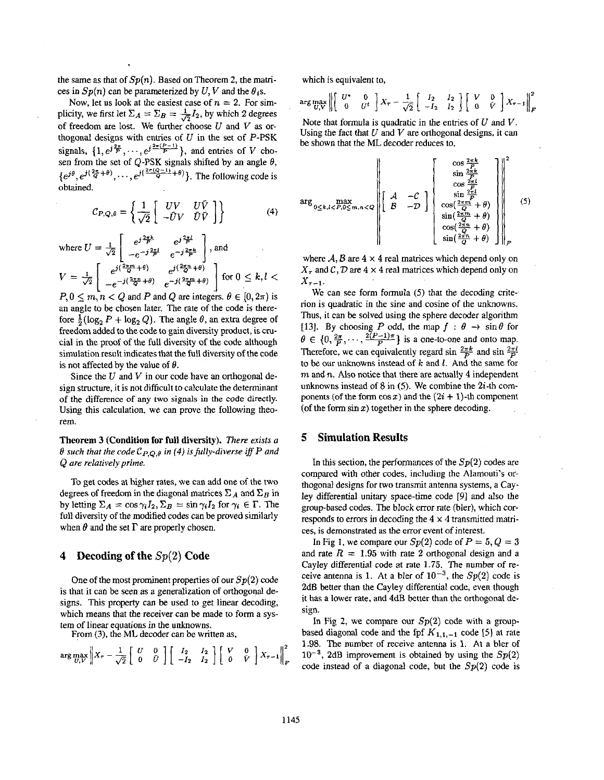the same as that of *Sp(n).* Based on Theorem **2,** the matrices in  $Sn(n)$  can be parameterized by *U*, *V* and the  $\theta$ <sub>i</sub>s.

Now, let us look at the easiest case of  $n = 2$ . For simplicity, we first let  $\Sigma_A = \Sigma_B = \frac{1}{\sqrt{2}}I_2$ , by which 2 degrees of freedom are lost. We further choose *U* and *V* **as** orthogonal designs with entries of *U* in the set of P-PSK signals,  $\{1, e^{j\frac{2\pi}{p}}, \cdots, e^{j\frac{2\pi(p-1)}{p}}\}$ , and entries of *V* chosen from the set of Q-PSK signals shifted by an angle  $\theta$ ,  $\{e^{j\theta},e^{j(\frac{2\pi}{Q}+\theta)},\cdots,e^{j(\frac{2\pi(Q-1)}{Q}+\theta)}\}$ . The following code is obtained.

$$
C_{P,Q,\theta} = \left\{ \frac{1}{\sqrt{2}} \begin{bmatrix} UV & U\bar{V} \\ -\bar{U}V & \bar{U}\bar{V} \end{bmatrix} \right\}
$$
(4)

where 
$$
U = \frac{1}{\sqrt{2}} \begin{bmatrix} e^{j\frac{2\pi k}{P}} & e^{j\frac{2\pi l}{P}} \\ -e^{-j\frac{2\pi l}{P}} & e^{-j\frac{2\pi k}{P}} \end{bmatrix}
$$
, and  
\n
$$
V = \frac{1}{\sqrt{2}} \begin{bmatrix} e^{j(\frac{2\pi m}{Q} + \theta)} & e^{j(\frac{2\pi n}{Q} + \theta)} \\ -e^{-j(\frac{2\pi m}{Q} + \theta)} & e^{-j(\frac{2\pi m}{Q} + \theta)} \end{bmatrix}
$$
 for  $0 \le k, l <$ 

 $P, 0 \le m, n < Q$  and *P* and *Q* are integers.  $\theta \in [0, 2\pi)$  is an angle to be chosen later. The rate of the code *is* therefore  $\frac{1}{2}(\log_2 P + \log_2 Q)$ . The angle  $\theta$ , an extra degree of freedom added to the code to gain diversity product, is crucia1 in the proof of the full diversity of the code although simulation result indicates that the full diversity of the code is not affected by the value of *8.* 

Since the *U* and V in **our** code have an orthogonal design structure, it is not difficult to calculate the determinant of the difference of **any** two **signals** in the code directly. Using this calculation, we can prove the following theorem.

**Theorem** 3 **(Condition for** full **diversity).** *There aists a*   $\theta$  such that the code  $\mathcal{C}_{P,Q,\theta}$  in (4) is fully-diverse iff P and Q *are relatively prime.* 

To get codes at higher rates, we can add one of the two degrees of freedom in the diagonal matrices  $\Sigma_A$  and  $\Sigma_B$  in by letting  $\Sigma_A = \cos \gamma_i I_2$ ,  $\Sigma_B = \sin \gamma_i I_2$  for  $\gamma_i \in \Gamma$ . The full diversity of the modified codes can be proved similarly when  $\theta$  and the set  $\Gamma$  are properly chosen.

## **4 Decoding of the** *Sp(2)* **Code**

One of the most prominent properties of our  $Sp(2)$  code is that it can be seen as **a** generalization of orthogonal designs. This property can be used to get linear decoding, which means that the receiver can be made to form a system of linear equations **in** the unknowns.

From (3), the **ML** decoder can be written as,

$$
\arg\max_{U,V}\left\|X_{\tau}-\frac{1}{\sqrt{2}}\left[\begin{array}{cc}U&0\\0&\bar{U}\end{array}\right]\left[\begin{array}{cc}I_2&I_2\\-I_2&I_2\end{array}\right]\left[\begin{array}{cc}V&0\\0&\bar{V}\end{array}\right]X_{\tau-1}\right\|_F^2
$$

which is equivalent to,

$$
\arg\max_{U,V}\left\|\left[\begin{array}{cc}U^*&0\\0&U^t\end{array}\right]X_\tau-\frac{1}{\sqrt{2}}\left[\begin{array}{cc}I_2&I_2\\-I_2&I_2\end{array}\right]\left[\begin{array}{cc}V&0\\0&\tilde{V}\end{array}\right]X_{\tau-1}\right\|_F^2
$$

Note that formula is quadratic in the entries of *U* and *V.*  Using the fact that *U* and *V* are orthogonal designs, it can be shown that the ML decoder reduces to,

$$
\arg \max_{0 \leq k, l < P, 0 \leq m, n < Q} \left\| \begin{bmatrix} \cos \frac{2\pi k}{P} \\ \sin \frac{2\pi k}{P} \\ \cos \frac{2\pi l}{P} \\ \cos \frac{2\pi n}{P} \\ \sin \frac{2\pi n}{P} + \theta \end{bmatrix} \right\|_{F}^{2}
$$
\n
$$
\left\| \begin{bmatrix} \mathcal{A} & -C \\ \mathcal{B} & -\mathcal{D} \end{bmatrix} \right\|_{\text{Sin}\left(\frac{2\pi m}{Q} + \theta\right)} \left\| \begin{bmatrix} \sin \frac{2\pi l}{P} \\ \sin \frac{2\pi m}{P} + \theta \\ \sin \left(\frac{2\pi m}{Q} + \theta\right) \\ \sin \left(\frac{2\pi n}{Q} + \theta\right) \end{bmatrix} \right\|_{F} \tag{5}
$$

where  $A, B$  are  $4 \times 4$  real matrices which depend only on  $X<sub>\tau</sub>$  and C, D are  $4 \times 4$  real matrices which depend only on  $X_{\tau-1}$ .

We can see form formula *(5)* that the decoding criterion is quadratic in the sine and cosine of the unknowns. Thus, it can be solved using the sphere decoder algorithm [13]. By choosing *P* odd, the map  $f : \theta \to \sin \theta$  for we can see form formula (3) that the decoding criterion is quadratic in the sine and cosine of the unknowns.<br>Thus, it can be solved using the sphere decoder algorithm<br>[13]. By choosing P odd, the map  $f : \theta \to \sin \theta$  for<br> $\theta \$ Therefore, we can equivalently regard  $\sin \frac{2\pi k}{p}$  and  $\sin$ to be our unknowns instead of *k* and *1.* And the same for m and *n.* **Also** notice that there are actually **4** independent unknowns instead of 8 in *(5).* We combine the 2i-th components (of the form  $\cos x$ ) and the  $(2i + 1)$ -th component (of the form  $\sin x$ ) together in the sphere decoding.

## **5 Simulation Results**

In this section, the performances of the  $Sp(2)$  codes are compared with other codes, including the Alamouti's orthogonal designs **for** two transmit antenna systems, a Cayley differential unitary space-time code 191 and also the group-based codes. The block error rate (bler), which corresponds to errors in decoding the **4 x 4** transmitted matrices, is demonstrated as the error event of interest.

In Fig 1, we compare our  $Sp(2)$  code of  $P = 5, Q = 3$ and rate  $R = 1.95$  with rate 2 orthogonal design and a Cayley differential code at rate 1.75. The number of receive antenna is 1. At a bler of  $10^{-3}$ , the Sp(2) code is **2dB** better than the Cayley differential code, even though it has a lower rate, and 4dB better than the orthogonal design.

In Fig 2, we compare our  $Sp(2)$  code with a groupbased diagonal code and the fpf  $K_{1,1,-1}$  code [5] at rate 1.98. The number of receive antenna **is** 1. At a bler of  $10^{-3}$ , 2dB improvement is obtained by using the  $Sp(2)$ code instead of a diagonal code, but the  $Sp(2)$  code is